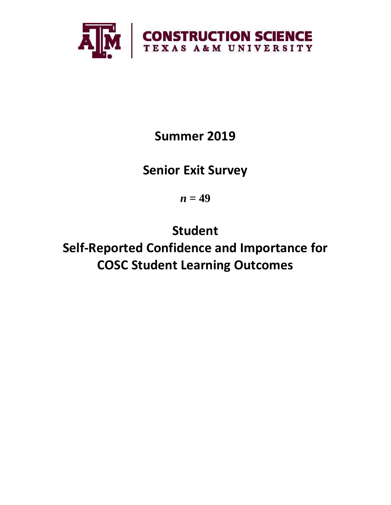

**Summer 2019**

**Senior Exit Survey**

 $n = 49$ 

**Student Self-Reported Confidence and Importance for COSC Student Learning Outcomes**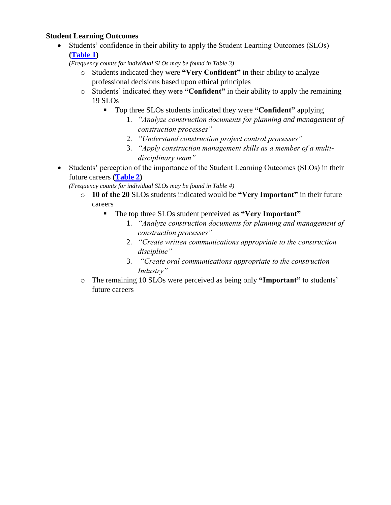## **Student Learning Outcomes**

• Students' confidence in their ability to apply the Student Learning Outcomes (SLOs) **[\(Table 1\)](#page-2-0)**

*(Frequency counts for individual SLOs may be found in Table 3)*

- o Students indicated they were **"Very Confident"** in their ability to analyze professional decisions based upon ethical principles
- o Students' indicated they were **"Confident"** in their ability to apply the remaining 19 SLOs
	- Top three SLOs students indicated they were **"Confident"** applying
		- 1. *"Analyze construction documents for planning and management of construction processes"*
		- 2. *"Understand construction project control processes"*
		- 3. *"Apply construction management skills as a member of a multidisciplinary team"*
- Students' perception of the importance of the Student Learning Outcomes (SLOs) in their future careers **[\(Table 2\)](#page-3-0)**

*(Frequency counts for individual SLOs may be found in Table 4)*

- o **10 of the 20** SLOs students indicated would be **"Very Important"** in their future careers
	- The top three SLOs student perceived as **"Very Important"**
		- 1. *"Analyze construction documents for planning and management of construction processes"*
		- 2. *"Create written communications appropriate to the construction discipline"*
		- 3. *"Create oral communications appropriate to the construction Industry"*
- o The remaining 10 SLOs were perceived as being only **"Important"** to students' future careers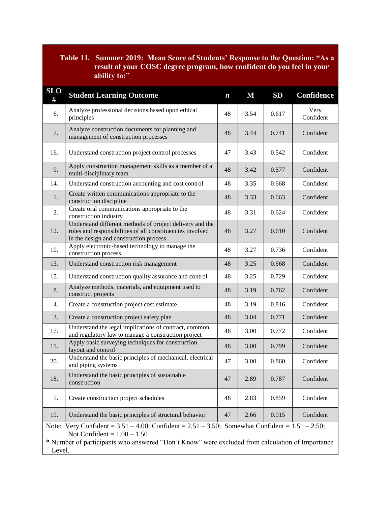# <span id="page-2-0"></span>**Table 11. Summer 2019: Mean Score of Students' Response to the Question: "As a result of your COSC degree program, how confident do you feel in your ability to:"**

| <b>SLO</b><br>#                                                                                                                                                                                                                                          | <b>Student Learning Outcome</b>                                                                                                                                 | $\boldsymbol{n}$ | $\mathbf M$ | <b>SD</b> | Confidence        |  |  |
|----------------------------------------------------------------------------------------------------------------------------------------------------------------------------------------------------------------------------------------------------------|-----------------------------------------------------------------------------------------------------------------------------------------------------------------|------------------|-------------|-----------|-------------------|--|--|
| 6.                                                                                                                                                                                                                                                       | Analyze professional decisions based upon ethical<br>principles                                                                                                 | 48               | 3.54        | 0.617     | Very<br>Confident |  |  |
| 7.                                                                                                                                                                                                                                                       | Analyze construction documents for planning and<br>management of construction processes                                                                         | 48               | 3.44        | 0.741     | Confident         |  |  |
| 16.                                                                                                                                                                                                                                                      | Understand construction project control processes                                                                                                               |                  | 3.43        | 0.542     | Confident         |  |  |
| 9.                                                                                                                                                                                                                                                       | Apply construction management skills as a member of a<br>multi-disciplinary team                                                                                | 48               | 3.42        | 0.577     | Confident         |  |  |
| 14.                                                                                                                                                                                                                                                      | Understand construction accounting and cost control                                                                                                             | 48               | 3.35        | 0.668     | Confident         |  |  |
| 1.                                                                                                                                                                                                                                                       | Create written communications appropriate to the<br>construction discipline                                                                                     | 48               | 3.33        | 0.663     | Confident         |  |  |
| 2.                                                                                                                                                                                                                                                       | Create oral communications appropriate to the<br>construction industry                                                                                          | 48               | 3.31        | 0.624     | Confident         |  |  |
| 12.                                                                                                                                                                                                                                                      | Understand different methods of project delivery and the<br>roles and responsibilities of all constituencies involved<br>in the design and construction process | 48               | 3.27        | 0.610     | Confident         |  |  |
| 10.                                                                                                                                                                                                                                                      | Apply electronic-based technology to manage the<br>construction process                                                                                         | 48               | 3.27        | 0.736     | Confident         |  |  |
| 13.                                                                                                                                                                                                                                                      | Understand construction risk management                                                                                                                         | 48               | 3.25        | 0.668     | Confident         |  |  |
| 15.                                                                                                                                                                                                                                                      | Understand construction quality assurance and control                                                                                                           | 48               | 3.25        | 0.729     | Confident         |  |  |
| 8.                                                                                                                                                                                                                                                       | Analyze methods, materials, and equipment used to<br>construct projects                                                                                         | 48               | 3.19        | 0.762     | Confident         |  |  |
| 4.                                                                                                                                                                                                                                                       | Create a construction project cost estimate                                                                                                                     | 48               | 3.19        | 0.816     | Confident         |  |  |
| 3.                                                                                                                                                                                                                                                       | Create a construction project safety plan                                                                                                                       | 48               | 3.04        | 0.771     | Confident         |  |  |
| 17.                                                                                                                                                                                                                                                      | Understand the legal implications of contract, common,<br>and regulatory law to manage a construction project                                                   | 48               | 3.00        | 0.772     | Confident         |  |  |
| 11.                                                                                                                                                                                                                                                      | Apply basic surveying techniques for construction<br>layout and control                                                                                         | 48               | 3.00        | 0.799     | Confident         |  |  |
| 20.                                                                                                                                                                                                                                                      | Understand the basic principles of mechanical, electrical<br>and piping systems                                                                                 |                  | 3.00        | 0.860     | Confident         |  |  |
| 18.                                                                                                                                                                                                                                                      | Understand the basic principles of sustainable<br>construction                                                                                                  |                  | 2.89        | 0.787     | Confident         |  |  |
| 5.                                                                                                                                                                                                                                                       | Create construction project schedules                                                                                                                           |                  | 2.83        | 0.859     | Confident         |  |  |
| 19.                                                                                                                                                                                                                                                      | Understand the basic principles of structural behavior                                                                                                          | 47               | 2.66        | 0.915     | Confident         |  |  |
| Very Confident = $3.51 - 4.00$ ; Confident = $2.51 - 3.50$ ; Somewhat Confident = $1.51 - 2.50$ ;<br>Note:<br>Not Confident = $1.00 - 1.50$<br>* Number of participants who answered "Don't Know" were excluded from calculation of Importance<br>Level. |                                                                                                                                                                 |                  |             |           |                   |  |  |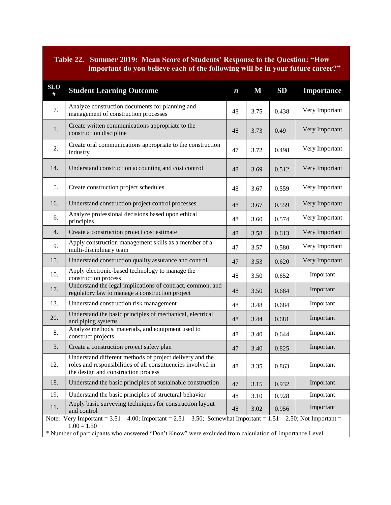## <span id="page-3-0"></span>**Table 22. Summer 2019: Mean Score of Students' Response to the Question: "How important do you believe each of the following will be in your future career?"**

| <b>SLO</b><br>#                                                                                                                          | <b>Student Learning Outcome</b>                                                                                                                                 | $\boldsymbol{n}$ | $\mathbf M$ | SD    | <b>Importance</b> |  |  |
|------------------------------------------------------------------------------------------------------------------------------------------|-----------------------------------------------------------------------------------------------------------------------------------------------------------------|------------------|-------------|-------|-------------------|--|--|
| 7.                                                                                                                                       | Analyze construction documents for planning and<br>management of construction processes                                                                         | 48               | 3.75        | 0.438 | Very Important    |  |  |
| 1.                                                                                                                                       | Create written communications appropriate to the<br>construction discipline                                                                                     | 48               | 3.73        | 0.49  | Very Important    |  |  |
| 2.                                                                                                                                       | Create oral communications appropriate to the construction<br>industry                                                                                          |                  | 3.72        | 0.498 | Very Important    |  |  |
| 14.                                                                                                                                      | Understand construction accounting and cost control                                                                                                             |                  | 3.69        | 0.512 | Very Important    |  |  |
| 5.                                                                                                                                       | Create construction project schedules                                                                                                                           | 48               | 3.67        | 0.559 | Very Important    |  |  |
| 16.                                                                                                                                      | Understand construction project control processes                                                                                                               | 48               | 3.67        | 0.559 | Very Important    |  |  |
| 6.                                                                                                                                       | Analyze professional decisions based upon ethical<br>principles                                                                                                 | 48               | 3.60        | 0.574 | Very Important    |  |  |
| 4.                                                                                                                                       | Create a construction project cost estimate                                                                                                                     | 48               | 3.58        | 0.613 | Very Important    |  |  |
| 9.                                                                                                                                       | Apply construction management skills as a member of a<br>multi-disciplinary team                                                                                | 47               | 3.57        | 0.580 | Very Important    |  |  |
| 15.                                                                                                                                      | Understand construction quality assurance and control                                                                                                           |                  | 3.53        | 0.620 | Very Important    |  |  |
| 10.                                                                                                                                      | Apply electronic-based technology to manage the<br>construction process                                                                                         |                  | 3.50        | 0.652 | Important         |  |  |
| 17.                                                                                                                                      | Understand the legal implications of contract, common, and<br>regulatory law to manage a construction project                                                   |                  | 3.50        | 0.684 | Important         |  |  |
| 13.                                                                                                                                      | Understand construction risk management                                                                                                                         | 48               | 3.48        | 0.684 | Important         |  |  |
| 20.                                                                                                                                      | Understand the basic principles of mechanical, electrical<br>and piping systems                                                                                 | 48               | 3.44        | 0.681 | Important         |  |  |
| 8.                                                                                                                                       | Analyze methods, materials, and equipment used to<br>construct projects                                                                                         |                  | 3.40        | 0.644 | Important         |  |  |
| 3.                                                                                                                                       | Create a construction project safety plan                                                                                                                       | 47               | 3.40        | 0.825 | Important         |  |  |
| 12.                                                                                                                                      | Understand different methods of project delivery and the<br>roles and responsibilities of all constituencies involved in<br>the design and construction process |                  | 3.35        | 0.863 | Important         |  |  |
| 18.                                                                                                                                      | Understand the basic principles of sustainable construction                                                                                                     |                  | 3.15        | 0.932 | Important         |  |  |
| 19.                                                                                                                                      | Understand the basic principles of structural behavior                                                                                                          |                  | 3.10        | 0.928 | Important         |  |  |
| 11.                                                                                                                                      | Apply basic surveying techniques for construction layout<br>and control                                                                                         |                  | 3.02        | 0.956 | Important         |  |  |
| Note: Very Important = $3.51 - 4.00$ ; Important = $2.51 - 3.50$ ; Somewhat Important = $1.51 - 2.50$ ; Not Important =<br>$1.00 - 1.50$ |                                                                                                                                                                 |                  |             |       |                   |  |  |
| * Number of participants who answered "Don't Know" were excluded from calculation of Importance Level.                                   |                                                                                                                                                                 |                  |             |       |                   |  |  |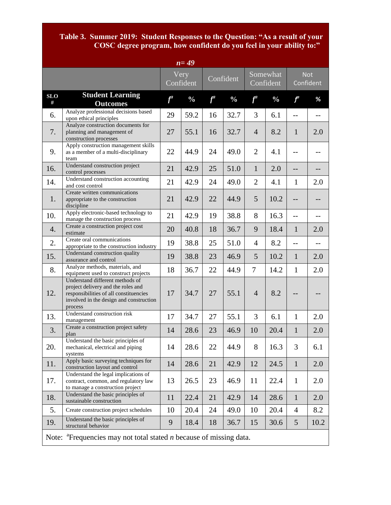### **Table 3. Summer 2019: Student Responses to the Question: "As a result of your COSC degree program, how confident do you feel in your ability to:"**

| $n=\overline{49}$                                                              |                                                                                                                                                                       |       |                   |           |               |                       |               |                |                         |
|--------------------------------------------------------------------------------|-----------------------------------------------------------------------------------------------------------------------------------------------------------------------|-------|-------------------|-----------|---------------|-----------------------|---------------|----------------|-------------------------|
|                                                                                |                                                                                                                                                                       |       | Very<br>Confident | Confident |               | Somewhat<br>Confident |               |                | <b>Not</b><br>Confident |
| <b>SLO</b><br>#                                                                | <b>Student Learning</b><br><b>Outcomes</b>                                                                                                                            | $f^a$ | $\frac{0}{0}$     | $f^a$     | $\frac{0}{0}$ | $f^a$                 | $\frac{0}{0}$ | $f^a$          | %                       |
| 6.                                                                             | Analyze professional decisions based<br>upon ethical principles                                                                                                       | 29    | 59.2              | 16        | 32.7          | 3                     | 6.1           | $-$            | $-$                     |
| 7.                                                                             | Analyze construction documents for<br>planning and management of<br>construction processes                                                                            | 27    | 55.1              | 16        | 32.7          | $\overline{4}$        | 8.2           | $\mathbf{1}$   | 2.0                     |
| 9.                                                                             | Apply construction management skills<br>as a member of a multi-disciplinary<br>team                                                                                   | 22    | 44.9              | 24        | 49.0          | $\overline{2}$        | 4.1           | $-$            |                         |
| 16.                                                                            | Understand construction project<br>control processes                                                                                                                  | 21    | 42.9              | 25        | 51.0          | $\mathbf{1}$          | 2.0           | $-$            | --                      |
| 14.                                                                            | Understand construction accounting<br>and cost control                                                                                                                | 21    | 42.9              | 24        | 49.0          | $\overline{2}$        | 4.1           | $\mathbf{1}$   | 2.0                     |
| 1.                                                                             | Create written communications<br>appropriate to the construction<br>discipline                                                                                        | 21    | 42.9              | 22        | 44.9          | 5                     | 10.2          | --             |                         |
| 10.                                                                            | Apply electronic-based technology to<br>manage the construction process                                                                                               | 21    | 42.9              | 19        | 38.8          | 8                     | 16.3          | $-$            |                         |
| 4.                                                                             | Create a construction project cost<br>estimate                                                                                                                        | 20    | 40.8              | 18        | 36.7          | 9                     | 18.4          | $\mathbf{1}$   | 2.0                     |
| 2.                                                                             | Create oral communications<br>appropriate to the construction industry                                                                                                | 19    | 38.8              | 25        | 51.0          | $\overline{4}$        | 8.2           | $-$            |                         |
| 15.                                                                            | Understand construction quality<br>assurance and control                                                                                                              | 19    | 38.8              | 23        | 46.9          | 5                     | 10.2          | $\mathbf{1}$   | 2.0                     |
| 8.                                                                             | Analyze methods, materials, and<br>equipment used to construct projects                                                                                               | 18    | 36.7              | 22        | 44.9          | $\overline{7}$        | 14.2          | $\mathbf{1}$   | 2.0                     |
| 12.                                                                            | Understand different methods of<br>project delivery and the roles and<br>responsibilities of all constituencies<br>involved in the design and construction<br>process | 17    | 34.7              | 27        | 55.1          | $\overline{4}$        | 8.2           |                |                         |
| 13.                                                                            | Understand construction risk<br>management                                                                                                                            | 17    | 34.7              | 27        | 55.1          | 3                     | 6.1           | $\mathbf{1}$   | 2.0                     |
| 3.                                                                             | Create a construction project safety<br>plan                                                                                                                          | 14    | 28.6              | 23        | 46.9          | 10                    | 20.4          | $\mathbf{1}$   | 2.0                     |
| 20.                                                                            | Understand the basic principles of<br>mechanical, electrical and piping<br>systems                                                                                    | 14    | 28.6              | 22        | 44.9          | 8                     | 16.3          | 3              | 6.1                     |
| 11.                                                                            | Apply basic surveying techniques for<br>construction layout and control                                                                                               | 14    | 28.6              | 21        | 42.9          | 12                    | 24.5          | $\mathbf{1}$   | 2.0                     |
| 17.                                                                            | Understand the legal implications of<br>contract, common, and regulatory law<br>to manage a construction project                                                      | 13    | 26.5              | 23        | 46.9          | 11                    | 22.4          | $\mathbf{1}$   | 2.0                     |
| 18.                                                                            | Understand the basic principles of<br>sustainable construction                                                                                                        | 11    | 22.4              | 21        | 42.9          | 14                    | 28.6          | $\mathbf{1}$   | 2.0                     |
| 5.                                                                             | Create construction project schedules                                                                                                                                 | 10    | 20.4              | 24        | 49.0          | 10                    | 20.4          | $\overline{4}$ | 8.2                     |
| 19.                                                                            | Understand the basic principles of<br>structural behavior                                                                                                             | 9     | 18.4              | 18        | 36.7          | 15                    | 30.6          | 5              | 10.2                    |
| Note: $a^*$ Frequencies may not total stated <i>n</i> because of missing data. |                                                                                                                                                                       |       |                   |           |               |                       |               |                |                         |